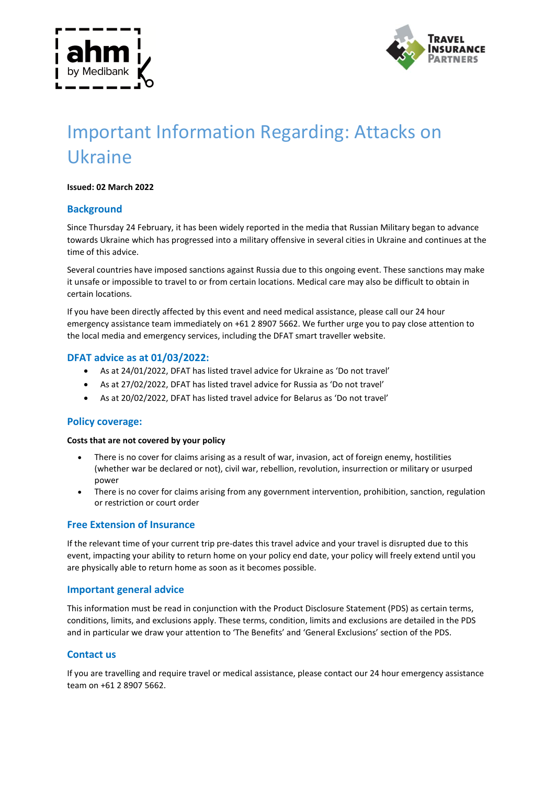



# Important Information Regarding: Attacks on Ukraine

## **Issued: 02 March 2022**

# **Background**

Since Thursday 24 February, it has been widely reported in the media that Russian Military began to advance towards Ukraine which has progressed into a military offensive in several cities in Ukraine and continues at the time of this advice.

Several countries have imposed sanctions against Russia due to this ongoing event. These sanctions may make it unsafe or impossible to travel to or from certain locations. Medical care may also be difficult to obtain in certain locations.

If you have been directly affected by this event and need medical assistance, please call our 24 hour emergency assistance team immediately on +61 2 8907 5662. We further urge you to pay close attention to the local media and emergency services, including the DFAT smart traveller website.

## **DFAT advice as at 01/03/2022:**

- As at 24/01/2022, DFAT has listed travel advice for Ukraine as 'Do not travel'
- As at 27/02/2022, DFAT has listed travel advice for Russia as 'Do not travel'
- As at 20/02/2022, DFAT has listed travel advice for Belarus as 'Do not travel'

## **Policy coverage:**

#### **Costs that are not covered by your policy**

- There is no cover for claims arising as a result of war, invasion, act of foreign enemy, hostilities (whether war be declared or not), civil war, rebellion, revolution, insurrection or military or usurped power
- There is no cover for claims arising from any government intervention, prohibition, sanction, regulation or restriction or court order

## **Free Extension of Insurance**

If the relevant time of your current trip pre-dates this travel advice and your travel is disrupted due to this event, impacting your ability to return home on your policy end date, your policy will freely extend until you are physically able to return home as soon as it becomes possible.

#### **Important general advice**

This information must be read in conjunction with the Product Disclosure Statement (PDS) as certain terms, conditions, limits, and exclusions apply. These terms, condition, limits and exclusions are detailed in the PDS and in particular we draw your attention to 'The Benefits' and 'General Exclusions' section of the PDS.

## **Contact us**

If you are travelling and require travel or medical assistance, please contact our 24 hour emergency assistance team on +61 2 8907 5662.